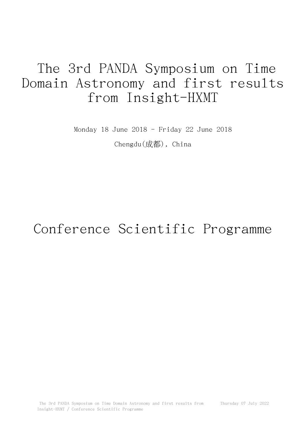## The 3rd PANDA Symposium on Time Domain Astronomy and first results from Insight-HXMT

Monday 18 June 2018 - Friday 22 June 2018 Chengdu(成都), China

## Conference Scientific Programme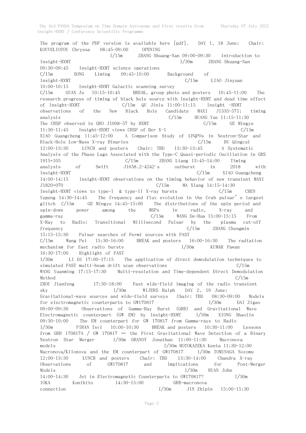The program of the PDF version is available here  $[\text{pdf}]$ . DAY 1, 18 June: Chair: KOUVELIOTOU Chryssa 08:45-09:00 OPENING I/15m ZHANG Shuang-Nan 09:00-09:30 Introduction to Insight-HXMT  $I/30m$  ZHANG Shuang-Nan 09:30-09:45 Insight-HXMT science operations  $C/15m$  SONG Liming  $09:45-10:00$  Background of Insight-HXMT C/15m LIAO Jinyuan 10:00-10:15 Insight-HXMT Galactic scanning survey  $C/15m$  GUAN Ju  $10:15-10:45$  BREAK, group photo and posters  $10:45-11:00$  The research progress of timing of black hole source with Insight-HXMT and dead time effect of Insight-HXMT C/15m QU Jinlu 11:00-11:15 Insight -HXMT observations of the New Black Hole Candidate MAXI J1535-571: timing analysis C/15m HUANG Yue 11:15-11:30 The CRSF observed in GRO J1008-57 by HXMT C/15m GE Mingyu 11:30-11:45 Insight-HXMT views CRSF of Her X-1 C/15m XIAO Guangcheng 11:45-12:00 A Comparison Study of LFQPOs in Neutron-Star and Black-Hole Low-Mass X-ray Binaries C/15m BU Qingcui 12:00-13:30 LUNCH and posters Chair: TBD 13:30-13:45 A Systematic Analysis of the Phase Lags Associated with the Type-C Quasi-periodic Oscillation in GRS 1915+105 C/15m ZHANG Liang 13:45-14:00 Timing analysis of Swift J1658.2-4242's outburst in 2018 with Insight-HXMT C/15m XIAO Guangcheng 14:00-14:15 Insight-HXMT observations on the timing behavior of new transient MAXI J1820+070 C/15m MA Xiang 14:15-14:30 Insight-HXMT views to type-I & type-II X-ray bursts  $C/15m$  CHEN Yupeng 14:30-14:45 The frequency and flux evolution in the Crab pulsar's largest glitch C/15m GE Mingyu 14:45-15:00 The distributions of the spin period and spin-down power among the MSPs in radio, X-ray and gamma-ray  $C/15m$  WANG De-Hua  $15:00-15:15$  From X-Ray to Radio: Transitional Millisecond Pulsar by the plasma cut-off frequency  $C/15m$  ZHANG Chengmin 15:15-15:30 Pulsar searches of Fermi sources with FAST C/15m Wang Pei 15:30-16:00 BREAK and posters 16:00-16:30 The radiation mechanism for fast radio bursts I/30m KUMAR Pawan 16:30-17:00 Highlight of FAST I/30m LI Di 17:00-17:15 The application of direct demodulation techniques to simulated FAST multi-beam drift scan observations  $C/15m$ WANG Yuanming 17:15-17:30 Multi-resolution and Time-dependent Direct Demodulation  $\ell$ /15m  $\epsilon$ /15m  $\epsilon$ /15m  $\epsilon$ /15m  $\epsilon$ /15m  $\epsilon$ /15m  $\epsilon$ /15m  $\epsilon$ /15m  $\epsilon$ ZHOU Jianfeng 17:30-18:00 Fast wide-field imaging of the radio transient sky I/30m WIJERS Ralph DAY 2, 19 June: Gravitational-wave sources and wide-field surveys Chair: TBD 08:30-09:00 Models for electromagnetic counterparts to GW170817 I/30m DAI Zigao 09:00-09:30 Observations of Gamma-Ray Burst (GRB) and Gravitational Wave Electromagnetic counterpart (GW EM) by Insight-HXMT I/30m XIONG Shaolin 09:30-10:00 The EM counterpart for GW 170817 from Gamma-rays to Radio I/30m PIRAN Tsvi 10:00-10:30 BREAK and posters 10:30-11:00 Lessons from GRB 170817A / GW 170817 – the First Gravitational Wave Detection of a Binary Neutron Star Merger I/30m GRANOT Jonathan 11:00-11:30 Macronova models I/30m HOTOKAZEKA Kenta 11:30-12:00 Macronova/Kilonova and the EM counterpart of GW170817 I/30m TOMINAGA Nozomu 12:00-13:30 LUNCH and posters Chair: TBD 13:30-14:00 Chandra X-ray Observations of GW170817 and Implications for Post-Merger Models I/30m RUAN John 14:00-14:30 Jet in Electromagnetic Counterparts to GW170817? I/30m IOKA Kunihito 14:30-15:00 GRB-macronova connection I/30m JIN Zhipin 15:00-15:30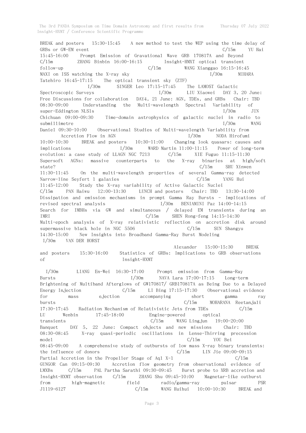BREAK and posters 15:30-15:45 A new method to test the WEP using the time delay of GRBs or GW-EM event C/15m YU Hai 15:45-16:00 Prompt Emission of Gravational Wave GRB 170817A and Beyond C/15m ZHANG Binbin 16:00-16:15 Insight-HMXT optical transient follow-up C/15m WANG Xianggao 16:15-16:45 MAXI on ISS watching the X-ray sky  $I/30m$  MIHARA Tatehiro 16:45-17:15 The optical transient sky (ZTF) I/30m SINGER Leo 17:15-17:45 The LAMOST Galactic Spectroscopic Surveys  $I/30m$  LIU Xiaowei DAY 3, 20 June: Free Discussions for collaboration DAY4, 21 June: AGN, TDEs, and GRBs Chair: TBD 08:30-09:00 Understanding the Multi-wavelength Spectral Variability of super-Eddington NLS1s I/30m JIN Chichuan 09:00-09:30 Time-domain astrophysics of galactic nuclei in radio to submillimetre  $I/30m$  WANG Daniel 09:30-10:00 Observational Studies of Multi-wavelength Variability from Accretion Flow in AGN I/30m NODA Hirofumi 10:00-10:30 BREAK and posters 10:30-11:00 Changing look quasars: causes and implications I/30m WARD Martin 11:00-11:15 Power of long-term evolution: a case study of LLAGN NGC 7213 C/15m XIE Fuguo 11:15-11:30 Supersoft AGNs: massive counterparts to the X-ray binaries at high/soft state? C/15m SHU Xinwen 11:30-11:45 On the multi-wavelength properties of several Gamma-ray detected Narrow-line Seyfert 1 galaxies C/15m YANG Hui 11:45-12:00 Study the X-ray variability of Active Galactic Nuclei C/15m PAN Haiwu 12:00-13:30 LUNCH and posters Chair: TBD 13:30-14:00 Dissipation and emission mechanisms in prompt Gamma Ray Bursts - Implications of revised spectral analysis I/30m BENIAMINI Paz 14:00-14:15 Search for IMBHs via GW and simultaneous / delayed EM transients during an IMRI C/15m Sunday C/15m SHEN Rong-feng 14:15-14:30 Multi-epoch analysis of X-ray relativistic reflection on accretion disk around supermassive black hole in NGC 5506 C/15m SUN Shangyu 14:30-15:00 New Insights into Broadband Gamma-Ray Burst Modeling I/30m VAN DER HORST Alexander 15:00-15:30 BREAK and posters 15:30-16:00 Statistics of GRBs: Implications to GRB observations of Insight-HXMT I/30m LIANG En-Wei 16:30-17:00 Prompt emission from Gamma-Ray Bursts I/30m NAVA Lara 17:00-17:15 Long-term Brightening of Multiband Afterglows of GW170817/ GRB170817A as Being Due to a Delayed Energy Injection C/15m LI Bing 17:15-17:30 Observational evidence for mass ejection accompanying short gamma ray bursts C/15m MOHARANA Reetanjali 17:30-17:45 Radiation Mechanism of Relativistic Jets from TDEs C/15m LU Wenbin 17:45-18:00 Engine-powered optical transients C/15m WANG Lingjun 19:00-20:00 Banquet DAY 5, 22 June: Compact objects and new missions Chair: TBD 08:30-08:45 X-ray quasi-periodic oscillations in Lense-Thirring precession mode1 C/15m YOU Bei 08:45-09:00 A comprehensive study of outbursts of low mass X-ray binary transients: the influence of donors  $C/15m$   $LIN$  Jie  $09:00-09:15$ Partial Accretion in the Propeller Stage of Aql X-1 C/15m GUNGOR Can 09:15-09:30 Accretion flow geometry from observational evidence of LMXBs C/15m PAL Partha Sarathi 09:30-09:45 Burst probe to XRB accretion and Insight-HXMT observation C/15m ZHANG Shu 09:45-10:00 Magnetar-like outburst from high-magnetic field radio/gamma-ray pulsar PSR J1119-6127 C/15m WANG Huihui 10:00-10:30 BREAK and